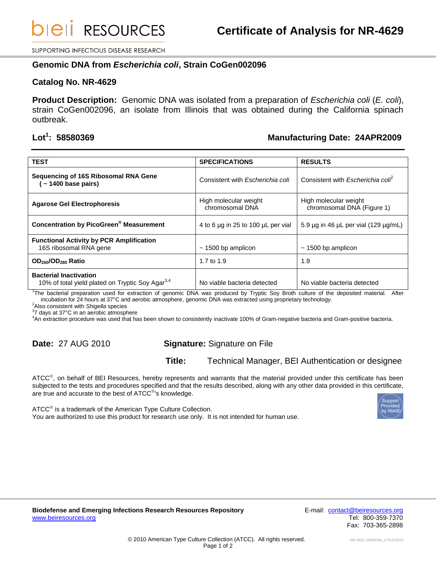**DIEII RESOURCES** 

SUPPORTING INFECTIOUS DISEASE RESEARCH

#### **Genomic DNA from** *Escherichia coli***, Strain CoGen002096**

#### **Catalog No. NR-4629**

**Product Description:** Genomic DNA was isolated from a preparation of *Escherichia coli* (*E. coli*), strain CoGen002096, an isolate from Illinois that was obtained during the California spinach outbreak.

# Lot<sup>1</sup>: 58580369

### **: 58580369 Manufacturing Date: 24APR2009**

| <b>TEST</b>                                                                                   | <b>SPECIFICATIONS</b>                    | <b>RESULTS</b>                                      |
|-----------------------------------------------------------------------------------------------|------------------------------------------|-----------------------------------------------------|
| Sequencing of 16S Ribosomal RNA Gene<br>$\sim$ 1400 base pairs)                               | Consistent with Escherichia coli         | Consistent with <i>Escherichia colf</i>             |
| <b>Agarose Gel Electrophoresis</b>                                                            | High molecular weight<br>chromosomal DNA | High molecular weight<br>chromosomal DNA (Figure 1) |
| <b>Concentration by PicoGreen<sup>®</sup> Measurement</b>                                     | 4 to 6 µg in 25 to 100 µL per vial       | 5.9 $\mu$ g in 46 $\mu$ L per vial (129 $\mu$ g/mL) |
| <b>Functional Activity by PCR Amplification</b><br>16S ribosomal RNA gene                     | $\sim$ 1500 bp amplicon                  | $\sim$ 1500 bp amplicon                             |
| OD <sub>260</sub> /OD <sub>280</sub> Ratio                                                    | 1.7 to 1.9                               | 1.9                                                 |
| <b>Bacterial Inactivation</b><br>10% of total yield plated on Tryptic Soy Agar <sup>3,4</sup> | No viable bacteria detected              | No viable bacteria detected                         |

1 The bacterial preparation used for extraction of genomic DNA was produced by Tryptic Soy Broth culture of the deposited material. After incubation for 24 hours at 37°C and aerobic atmosphere, genomic DNA was extracted using proprietary technology.

<sup>2</sup>Also consistent with *Shigella* species

3 7 days at 37°C in an aerobic atmosphere

<sup>4</sup>An extraction procedure was used that has been shown to consistently inactivate 100% of Gram-negative bacteria and Gram-positive bacteria.

## **Date:** 27 AUG 2010 **Signature:** Signature on File

### **Title:** Technical Manager, BEI Authentication or designee

ATCC<sup>®</sup>, on behalf of BEI Resources, hereby represents and warrants that the material provided under this certificate has been subjected to the tests and procedures specified and that the results described, along with any other data provided in this certificate, are true and accurate to the best of  $ATCC^@$ 's knowledge.

You are authorized to use this product for research use only. It is not intended for human use.

 $\tt ATCC^@$  is a trademark of the American Type Culture Collection.